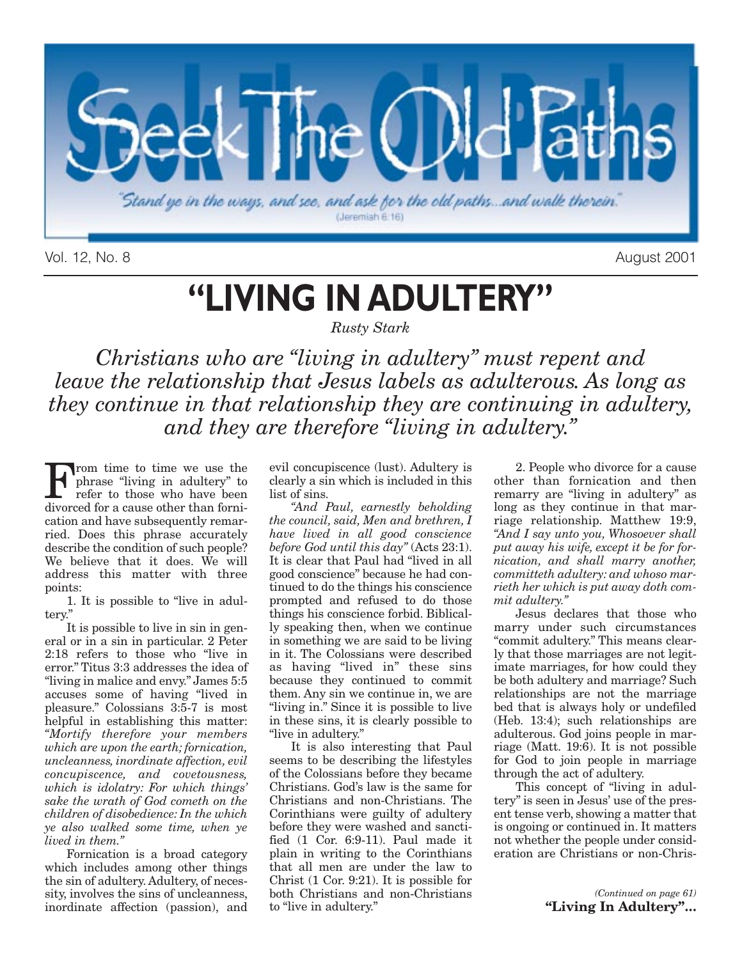

Vol. 12, No. 8 August 2001

## **"LIVING IN ADULTERY"**

*Rusty Stark* 

*Christians who are "living in adultery" must repent and leave the relationship that Jesus labels as adulterous. As long as they continue in that relationship they are continuing in adultery, and they are therefore "living in adultery."*

From time to time we use the<br>phrase "living in adultery" to<br>refer to those who have been<br>divorced for a cause other than forniphrase "living in adultery" to refer to those who have been divorced for a cause other than fornication and have subsequently remarried. Does this phrase accurately describe the condition of such people? We believe that it does. We will address this matter with three points:

1. It is possible to "live in adultery."

It is possible to live in sin in general or in a sin in particular. 2 Peter 2:18 refers to those who "live in error." Titus 3:3 addresses the idea of "living in malice and envy." James 5:5 accuses some of having "lived in pleasure." Colossians 3:5-7 is most helpful in establishing this matter: *"Mortify therefore your members which are upon the earth; fornication, uncleanness, inordinate affection, evil concupiscence, and covetousness, which is idolatry: For which things' sake the wrath of God cometh on the children of disobedience: In the which ye also walked some time, when ye lived in them."*

Fornication is a broad category which includes among other things the sin of adultery. Adultery, of necessity, involves the sins of uncleanness, inordinate affection (passion), and evil concupiscence (lust). Adultery is clearly a sin which is included in this list of sins.

*"And Paul, earnestly beholding the council, said, Men and brethren, I have lived in all good conscience before God until this day"* (Acts 23:1). It is clear that Paul had "lived in all good conscience" because he had continued to do the things his conscience prompted and refused to do those things his conscience forbid. Biblically speaking then, when we continue in something we are said to be living in it. The Colossians were described as having "lived in" these sins because they continued to commit them. Any sin we continue in, we are "living in." Since it is possible to live in these sins, it is clearly possible to "live in adultery."

It is also interesting that Paul seems to be describing the lifestyles of the Colossians before they became Christians. God's law is the same for Christians and non-Christians. The Corinthians were guilty of adultery before they were washed and sanctified (1 Cor. 6:9-11). Paul made it plain in writing to the Corinthians that all men are under the law to Christ (1 Cor. 9:21). It is possible for both Christians and non-Christians to "live in adultery."

2. People who divorce for a cause other than fornication and then remarry are "living in adultery" as long as they continue in that marriage relationship. Matthew 19:9, *"And I say unto you, Whosoever shall put away his wife, except it be for fornication, and shall marry another, committeth adultery: and whoso marrieth her which is put away doth commit adultery."*

Jesus declares that those who marry under such circumstances "commit adultery." This means clearly that those marriages are not legitimate marriages, for how could they be both adultery and marriage? Such relationships are not the marriage bed that is always holy or undefiled (Heb. 13:4); such relationships are adulterous. God joins people in marriage (Matt. 19:6). It is not possible for God to join people in marriage through the act of adultery.

This concept of "living in adultery" is seen in Jesus' use of the present tense verb, showing a matter that is ongoing or continued in. It matters not whether the people under consideration are Christians or non-Chris-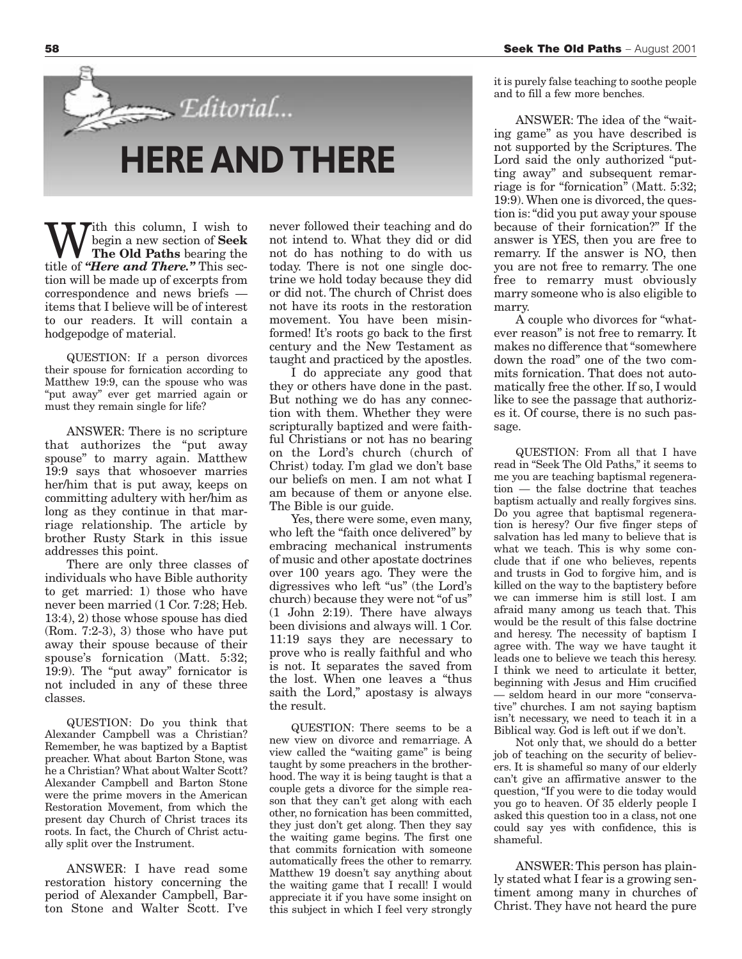With this column, I wish to<br>The Old Paths bearing the<br>title of "Here and There" This secbegin a new section of **Seek The Old Paths** bearing the title of *"Here and There."* This section will be made up of excerpts from correspondence and news briefs items that I believe will be of interest to our readers. It will contain a hodgepodge of material.

**HERE AND THERE**

Editorial...

QUESTION: If a person divorces their spouse for fornication according to Matthew 19:9, can the spouse who was "put away" ever get married again or must they remain single for life?

ANSWER: There is no scripture that authorizes the "put away spouse" to marry again. Matthew 19:9 says that whosoever marries her/him that is put away, keeps on committing adultery with her/him as long as they continue in that marriage relationship. The article by brother Rusty Stark in this issue addresses this point.

There are only three classes of individuals who have Bible authority to get married: 1) those who have never been married (1 Cor. 7:28; Heb. 13:4), 2) those whose spouse has died (Rom. 7:2-3), 3) those who have put away their spouse because of their spouse's fornication (Matt. 5:32; 19:9). The "put away" fornicator is not included in any of these three classes.

QUESTION: Do you think that Alexander Campbell was a Christian? Remember, he was baptized by a Baptist preacher. What about Barton Stone, was he a Christian? What about Walter Scott? Alexander Campbell and Barton Stone were the prime movers in the American Restoration Movement, from which the present day Church of Christ traces its roots. In fact, the Church of Christ actually split over the Instrument.

ANSWER: I have read some restoration history concerning the period of Alexander Campbell, Barton Stone and Walter Scott. I've never followed their teaching and do not intend to. What they did or did not do has nothing to do with us today. There is not one single doctrine we hold today because they did or did not. The church of Christ does not have its roots in the restoration movement. You have been misinformed! It's roots go back to the first century and the New Testament as taught and practiced by the apostles.

I do appreciate any good that they or others have done in the past. But nothing we do has any connection with them. Whether they were scripturally baptized and were faithful Christians or not has no bearing on the Lord's church (church of Christ) today. I'm glad we don't base our beliefs on men. I am not what I am because of them or anyone else. The Bible is our guide.

Yes, there were some, even many, who left the "faith once delivered" by embracing mechanical instruments of music and other apostate doctrines over 100 years ago. They were the digressives who left "us" (the Lord's church) because they were not "of us" (1 John 2:19). There have always been divisions and always will. 1 Cor. 11:19 says they are necessary to prove who is really faithful and who is not. It separates the saved from the lost. When one leaves a "thus saith the Lord," apostasy is always the result.

QUESTION: There seems to be a new view on divorce and remarriage. A view called the "waiting game" is being taught by some preachers in the brotherhood. The way it is being taught is that a couple gets a divorce for the simple reason that they can't get along with each other, no fornication has been committed, they just don't get along. Then they say the waiting game begins. The first one that commits fornication with someone automatically frees the other to remarry. Matthew 19 doesn't say anything about the waiting game that I recall!  $\overline{I}$  would appreciate it if you have some insight on this subject in which I feel very strongly

it is purely false teaching to soothe people and to fill a few more benches.

ANSWER: The idea of the "waiting game" as you have described is not supported by the Scriptures. The Lord said the only authorized "putting away" and subsequent remarriage is for "fornication" (Matt. 5:32; 19:9). When one is divorced, the question is: "did you put away your spouse because of their fornication?" If the answer is YES, then you are free to remarry. If the answer is NO, then you are not free to remarry. The one free to remarry must obviously marry someone who is also eligible to marry.

A couple who divorces for "whatever reason" is not free to remarry. It makes no difference that "somewhere down the road" one of the two commits fornication. That does not automatically free the other. If so, I would like to see the passage that authorizes it. Of course, there is no such passage.

QUESTION: From all that I have read in "Seek The Old Paths," it seems to me you are teaching baptismal regeneration — the false doctrine that teaches baptism actually and really forgives sins. Do you agree that baptismal regeneration is heresy? Our five finger steps of salvation has led many to believe that is what we teach. This is why some conclude that if one who believes, repents and trusts in God to forgive him, and is killed on the way to the baptistery before we can immerse him is still lost. I am afraid many among us teach that. This would be the result of this false doctrine and heresy. The necessity of baptism I agree with. The way we have taught it leads one to believe we teach this heresy. I think we need to articulate it better, beginning with Jesus and Him crucified — seldom heard in our more "conservative" churches. I am not saying baptism isn't necessary, we need to teach it in a Biblical way. God is left out if we don't.

Not only that, we should do a better job of teaching on the security of believers. It is shameful so many of our elderly can't give an affirmative answer to the question, "If you were to die today would you go to heaven. Of 35 elderly people I asked this question too in a class, not one could say yes with confidence, this is shameful.

ANSWER: This person has plainly stated what I fear is a growing sentiment among many in churches of Christ. They have not heard the pure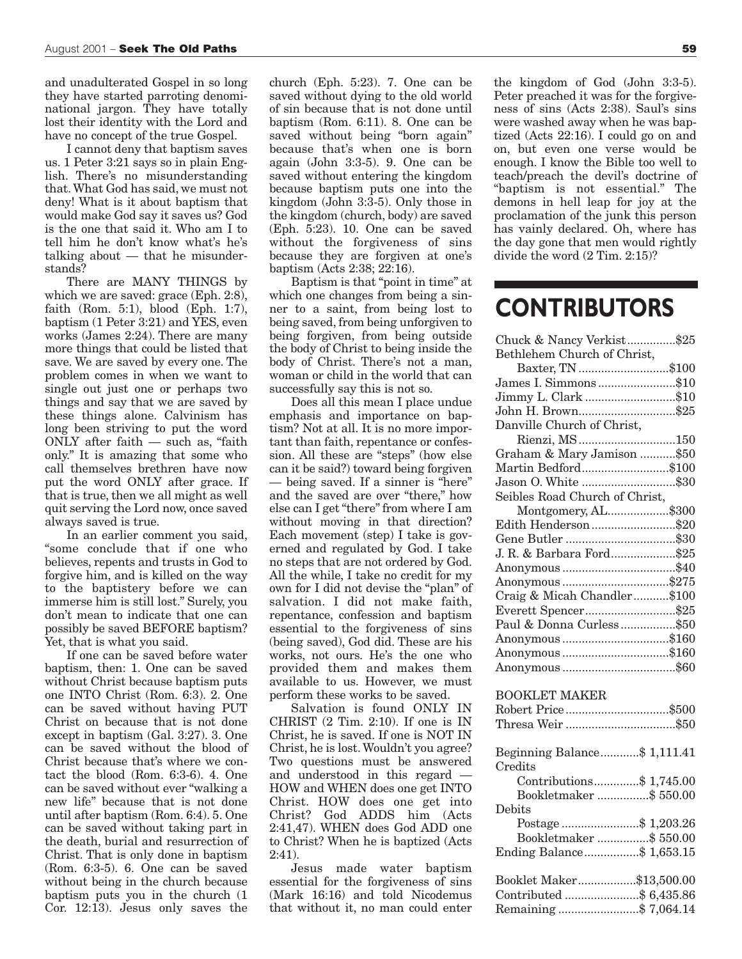and unadulterated Gospel in so long they have started parroting denominational jargon. They have totally lost their identity with the Lord and have no concept of the true Gospel.

I cannot deny that baptism saves us. 1 Peter 3:21 says so in plain English. There's no misunderstanding that. What God has said, we must not deny! What is it about baptism that would make God say it saves us? God is the one that said it. Who am I to tell him he don't know what's he's talking about — that he misunderstands?

There are MANY THINGS by which we are saved: grace (Eph. 2:8), faith (Rom. 5:1), blood (Eph. 1:7), baptism (1 Peter 3:21) and YES, even works (James 2:24). There are many more things that could be listed that save. We are saved by every one. The problem comes in when we want to single out just one or perhaps two things and say that we are saved by these things alone. Calvinism has long been striving to put the word ONLY after faith — such as, "faith only." It is amazing that some who call themselves brethren have now put the word ONLY after grace. If that is true, then we all might as well quit serving the Lord now, once saved always saved is true.

In an earlier comment you said, "some conclude that if one who believes, repents and trusts in God to forgive him, and is killed on the way to the baptistery before we can immerse him is still lost." Surely, you don't mean to indicate that one can possibly be saved BEFORE baptism? Yet, that is what you said.

If one can be saved before water baptism, then: 1. One can be saved without Christ because baptism puts one INTO Christ (Rom. 6:3). 2. One can be saved without having PUT Christ on because that is not done except in baptism (Gal. 3:27). 3. One can be saved without the blood of Christ because that's where we contact the blood (Rom. 6:3-6). 4. One can be saved without ever "walking a new life" because that is not done until after baptism (Rom. 6:4). 5. One can be saved without taking part in the death, burial and resurrection of Christ. That is only done in baptism (Rom. 6:3-5). 6. One can be saved without being in the church because baptism puts you in the church (1 Cor. 12:13). Jesus only saves the

church (Eph. 5:23). 7. One can be saved without dying to the old world of sin because that is not done until baptism (Rom. 6:11). 8. One can be saved without being "born again" because that's when one is born again (John 3:3-5). 9. One can be saved without entering the kingdom because baptism puts one into the kingdom (John 3:3-5). Only those in the kingdom (church, body) are saved (Eph. 5:23). 10. One can be saved without the forgiveness of sins because they are forgiven at one's baptism (Acts 2:38; 22:16).

Baptism is that "point in time" at which one changes from being a sinner to a saint, from being lost to being saved, from being unforgiven to being forgiven, from being outside the body of Christ to being inside the body of Christ. There's not a man, woman or child in the world that can successfully say this is not so.

Does all this mean I place undue emphasis and importance on baptism? Not at all. It is no more important than faith, repentance or confession. All these are "steps" (how else can it be said?) toward being forgiven — being saved. If a sinner is "here" and the saved are over "there," how else can I get "there" from where I am without moving in that direction? Each movement (step) I take is governed and regulated by God. I take no steps that are not ordered by God. All the while, I take no credit for my own for I did not devise the "plan" of salvation. I did not make faith, repentance, confession and baptism essential to the forgiveness of sins (being saved), God did. These are his works, not ours. He's the one who provided them and makes them available to us. However, we must perform these works to be saved.

Salvation is found ONLY IN CHRIST (2 Tim. 2:10). If one is IN Christ, he is saved. If one is NOT IN Christ, he is lost. Wouldn't you agree? Two questions must be answered and understood in this regard — HOW and WHEN does one get INTO Christ. HOW does one get into Christ? God ADDS him (Acts 2:41,47). WHEN does God ADD one to Christ? When he is baptized (Acts  $2:41$ ).

Jesus made water baptism essential for the forgiveness of sins (Mark 16:16) and told Nicodemus that without it, no man could enter

the kingdom of God (John 3:3-5). Peter preached it was for the forgiveness of sins (Acts 2:38). Saul's sins were washed away when he was baptized (Acts 22:16). I could go on and on, but even one verse would be enough. I know the Bible too well to teach/preach the devil's doctrine of "baptism is not essential." The demons in hell leap for joy at the proclamation of the junk this person has vainly declared. Oh, where has the day gone that men would rightly divide the word (2 Tim. 2:15)?

### **CONTRIBUTORS**

| Chuck & Nancy Verkist\$25      |  |
|--------------------------------|--|
| Bethlehem Church of Christ,    |  |
| Baxter, TN \$100               |  |
| James I. Simmons\$10           |  |
| Jimmy L. Clark \$10            |  |
| John H. Brown\$25              |  |
| Danville Church of Christ,     |  |
| Rienzi, MS150                  |  |
| Graham & Mary Jamison \$50     |  |
| Martin Bedford\$100            |  |
| Jason O. White \$30            |  |
| Seibles Road Church of Christ, |  |
| Montgomery, AL\$300            |  |
| Edith Henderson\$20            |  |
| Gene Butler \$30               |  |
| J. R. & Barbara Ford\$25       |  |
|                                |  |
|                                |  |
| Craig & Micah Chandler\$100    |  |
| Everett Spencer\$25            |  |
| Paul & Donna Curless\$50       |  |
| Anonymous \$160                |  |
| Anonymous \$160                |  |
|                                |  |
|                                |  |
| <b>BOOKLET MAKER</b>           |  |
| Robert Price\$500              |  |
| Thresa Weir \$50               |  |
|                                |  |
| Beginning Balance\$ 1,111.41   |  |
| Credits                        |  |
| Contributions\$ 1,745.00       |  |
| Bookletmaker \$ 550.00         |  |
| Debits                         |  |
| Postage \$ 1,203.26            |  |
| Bookletmaker \$ 550.00         |  |
| Ending Balance\$ 1,653.15      |  |
|                                |  |
| Booklet Maker\$13,500.00       |  |
| Contributed \$ 6,435.86        |  |
| Remaining\$7,064.14            |  |
|                                |  |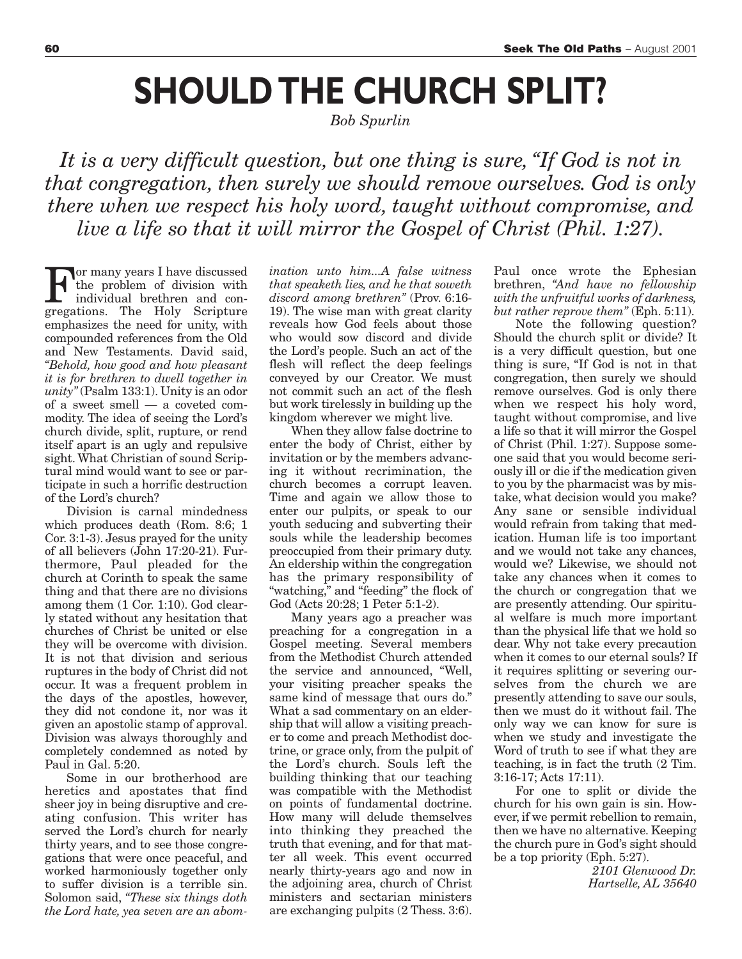# **SHOULD THE CHURCH SPLIT?**

*Bob Spurlin* 

*It is a very difficult question, but one thing is sure, "If God is not in that congregation, then surely we should remove ourselves. God is only there when we respect his holy word, taught without compromise, and live a life so that it will mirror the Gospel of Christ (Phil. 1:27).*

or many years I have discussed the problem of division with individual brethren and congregations. The Holy Scripture emphasizes the need for unity, with compounded references from the Old and New Testaments. David said, *"Behold, how good and how pleasant it is for brethren to dwell together in unity"*(Psalm 133:1). Unity is an odor of a sweet smell — a coveted commodity. The idea of seeing the Lord's church divide, split, rupture, or rend itself apart is an ugly and repulsive sight. What Christian of sound Scriptural mind would want to see or participate in such a horrific destruction of the Lord's church?

Division is carnal mindedness which produces death (Rom. 8:6; 1 Cor. 3:1-3). Jesus prayed for the unity of all believers (John 17:20-21). Furthermore, Paul pleaded for the church at Corinth to speak the same thing and that there are no divisions among them (1 Cor. 1:10). God clearly stated without any hesitation that churches of Christ be united or else they will be overcome with division. It is not that division and serious ruptures in the body of Christ did not occur. It was a frequent problem in the days of the apostles, however, they did not condone it, nor was it given an apostolic stamp of approval. Division was always thoroughly and completely condemned as noted by Paul in Gal. 5:20.

Some in our brotherhood are heretics and apostates that find sheer joy in being disruptive and creating confusion. This writer has served the Lord's church for nearly thirty years, and to see those congregations that were once peaceful, and worked harmoniously together only to suffer division is a terrible sin. Solomon said, *"These six things doth the Lord hate, yea seven are an abom-* *ination unto him...A false witness that speaketh lies, and he that soweth discord among brethren"* (Prov. 6:16- 19). The wise man with great clarity reveals how God feels about those who would sow discord and divide the Lord's people. Such an act of the flesh will reflect the deep feelings conveyed by our Creator. We must not commit such an act of the flesh but work tirelessly in building up the kingdom wherever we might live.

When they allow false doctrine to enter the body of Christ, either by invitation or by the members advancing it without recrimination, the church becomes a corrupt leaven. Time and again we allow those to enter our pulpits, or speak to our youth seducing and subverting their souls while the leadership becomes preoccupied from their primary duty. An eldership within the congregation has the primary responsibility of "watching," and "feeding" the flock of God (Acts 20:28; 1 Peter 5:1-2).

Many years ago a preacher was preaching for a congregation in a Gospel meeting. Several members from the Methodist Church attended the service and announced, "Well, your visiting preacher speaks the same kind of message that ours do." What a sad commentary on an eldership that will allow a visiting preacher to come and preach Methodist doctrine, or grace only, from the pulpit of the Lord's church. Souls left the building thinking that our teaching was compatible with the Methodist on points of fundamental doctrine. How many will delude themselves into thinking they preached the truth that evening, and for that matter all week. This event occurred nearly thirty-years ago and now in the adjoining area, church of Christ ministers and sectarian ministers are exchanging pulpits (2 Thess. 3:6).

Paul once wrote the Ephesian brethren, *"And have no fellowship with the unfruitful works of darkness, but rather reprove them"* (Eph. 5:11).

Note the following question? Should the church split or divide? It is a very difficult question, but one thing is sure, "If God is not in that congregation, then surely we should remove ourselves. God is only there when we respect his holy word, taught without compromise, and live a life so that it will mirror the Gospel of Christ (Phil. 1:27). Suppose someone said that you would become seriously ill or die if the medication given to you by the pharmacist was by mistake, what decision would you make? Any sane or sensible individual would refrain from taking that medication. Human life is too important and we would not take any chances, would we? Likewise, we should not take any chances when it comes to the church or congregation that we are presently attending. Our spiritual welfare is much more important than the physical life that we hold so dear. Why not take every precaution when it comes to our eternal souls? If it requires splitting or severing ourselves from the church we are presently attending to save our souls, then we must do it without fail. The only way we can know for sure is when we study and investigate the Word of truth to see if what they are teaching, is in fact the truth (2 Tim. 3:16-17; Acts 17:11).

For one to split or divide the church for his own gain is sin. However, if we permit rebellion to remain, then we have no alternative. Keeping the church pure in God's sight should be a top priority (Eph. 5:27).

> *2101 Glenwood Dr. Hartselle, AL 35640*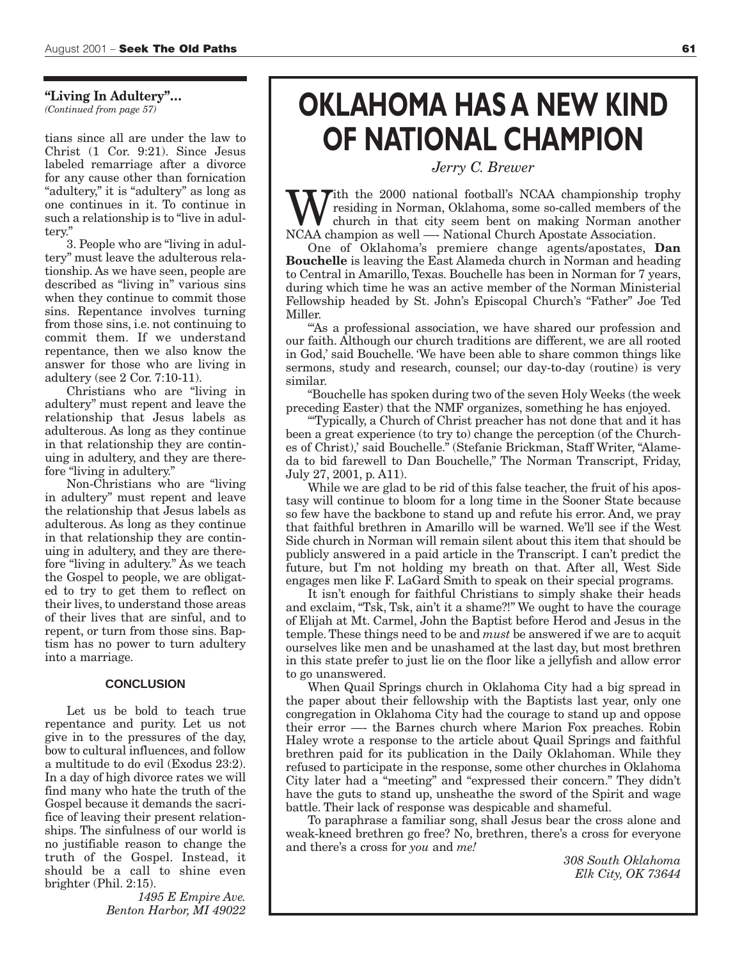**"Living In Adultery"…** *(Continued from page 57)*

tians since all are under the law to Christ (1 Cor. 9:21). Since Jesus labeled remarriage after a divorce for any cause other than fornication "adultery," it is "adultery" as long as one continues in it. To continue in such a relationship is to "live in adultery."

3. People who are "living in adultery" must leave the adulterous relationship. As we have seen, people are described as "living in" various sins when they continue to commit those sins. Repentance involves turning from those sins, i.e. not continuing to commit them. If we understand repentance, then we also know the answer for those who are living in adultery (see 2 Cor. 7:10-11).

Christians who are "living in adultery" must repent and leave the relationship that Jesus labels as adulterous. As long as they continue in that relationship they are continuing in adultery, and they are therefore "living in adultery."

Non-Christians who are "living in adultery" must repent and leave the relationship that Jesus labels as adulterous. As long as they continue in that relationship they are continuing in adultery, and they are therefore "living in adultery." As we teach the Gospel to people, we are obligated to try to get them to reflect on their lives, to understand those areas of their lives that are sinful, and to repent, or turn from those sins. Baptism has no power to turn adultery into a marriage.

#### **CONCLUSION**

Let us be bold to teach true repentance and purity. Let us not give in to the pressures of the day, bow to cultural influences, and follow a multitude to do evil (Exodus 23:2). In a day of high divorce rates we will find many who hate the truth of the Gospel because it demands the sacrifice of leaving their present relationships. The sinfulness of our world is no justifiable reason to change the truth of the Gospel. Instead, it should be a call to shine even brighter (Phil. 2:15).

*1495 E Empire Ave. Benton Harbor, MI 49022*

### **OKLAHOMA HAS A NEW KIND OF NATIONAL CHAMPION**

*Jerry C. Brewer* 

With the 2000 national football's NCAA championship trophy<br>church in that city seem bent on making Norman another<br>NCAA champion as well — National Church Apostate Association residing in Norman, Oklahoma, some so-called members of the NCAA champion as well —- National Church Apostate Association.

One of Oklahoma's premiere change agents/apostates, **Dan Bouchelle** is leaving the East Alameda church in Norman and heading to Central in Amarillo, Texas. Bouchelle has been in Norman for 7 years, during which time he was an active member of the Norman Ministerial Fellowship headed by St. John's Episcopal Church's "Father" Joe Ted Miller.

"'As a professional association, we have shared our profession and our faith. Although our church traditions are different, we are all rooted in God,' said Bouchelle. 'We have been able to share common things like sermons, study and research, counsel; our day-to-day (routine) is very similar.

"Bouchelle has spoken during two of the seven Holy Weeks (the week preceding Easter) that the NMF organizes, something he has enjoyed.

"'Typically, a Church of Christ preacher has not done that and it has been a great experience (to try to) change the perception (of the Churches of Christ),' said Bouchelle." (Stefanie Brickman, Staff Writer, "Alameda to bid farewell to Dan Bouchelle," The Norman Transcript, Friday, July 27, 2001, p. A11).

While we are glad to be rid of this false teacher, the fruit of his apostasy will continue to bloom for a long time in the Sooner State because so few have the backbone to stand up and refute his error. And, we pray that faithful brethren in Amarillo will be warned. We'll see if the West Side church in Norman will remain silent about this item that should be publicly answered in a paid article in the Transcript. I can't predict the future, but I'm not holding my breath on that. After all, West Side engages men like F. LaGard Smith to speak on their special programs.

It isn't enough for faithful Christians to simply shake their heads and exclaim, "Tsk, Tsk, ain't it a shame?!" We ought to have the courage of Elijah at Mt. Carmel, John the Baptist before Herod and Jesus in the temple. These things need to be and *must* be answered if we are to acquit ourselves like men and be unashamed at the last day, but most brethren in this state prefer to just lie on the floor like a jellyfish and allow error to go unanswered.

When Quail Springs church in Oklahoma City had a big spread in the paper about their fellowship with the Baptists last year, only one congregation in Oklahoma City had the courage to stand up and oppose their error —- the Barnes church where Marion Fox preaches. Robin Haley wrote a response to the article about Quail Springs and faithful brethren paid for its publication in the Daily Oklahoman. While they refused to participate in the response, some other churches in Oklahoma City later had a "meeting" and "expressed their concern." They didn't have the guts to stand up, unsheathe the sword of the Spirit and wage battle. Their lack of response was despicable and shameful.

To paraphrase a familiar song, shall Jesus bear the cross alone and weak-kneed brethren go free? No, brethren, there's a cross for everyone and there's a cross for *you* and *me!*

> *308 South Oklahoma Elk City, OK 73644*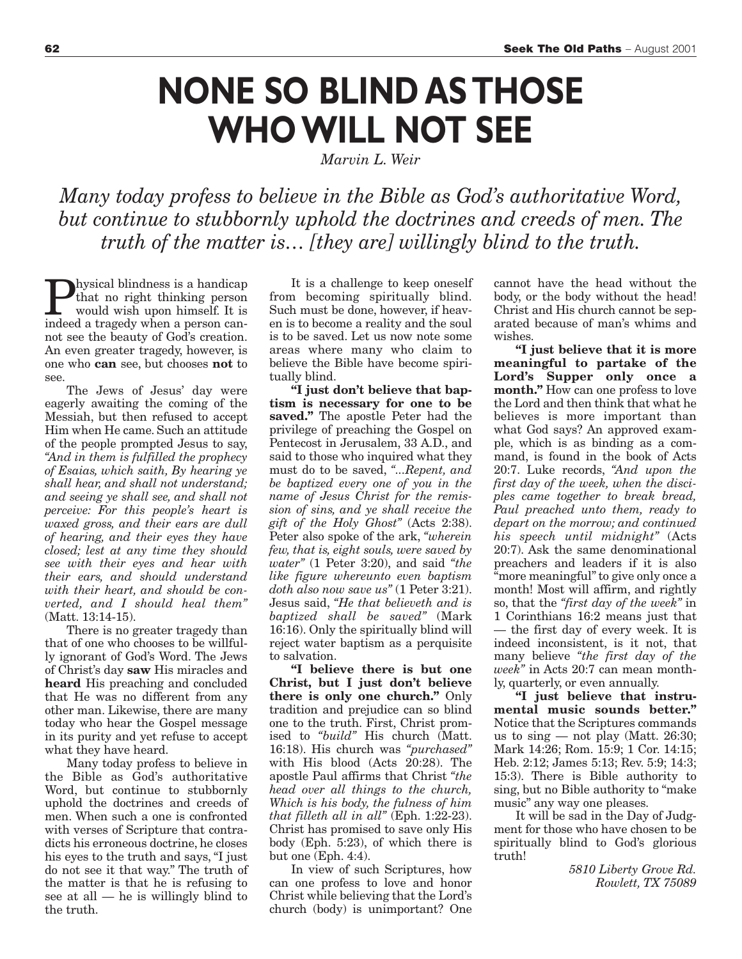### **NONE SO BLIND AS THOSE WHO WILL NOT SEE**

*Marvin L. Weir* 

*Many today profess to believe in the Bible as God's authoritative Word, but continue to stubbornly uphold the doctrines and creeds of men. The truth of the matter is… [they are] willingly blind to the truth.*

hysical blindness is a handicap that no right thinking person would wish upon himself. It is indeed a tragedy when a person cannot see the beauty of God's creation. An even greater tragedy, however, is one who **can** see, but chooses **not** to see.

The Jews of Jesus' day were eagerly awaiting the coming of the Messiah, but then refused to accept Him when He came. Such an attitude of the people prompted Jesus to say, *"And in them is fulfilled the prophecy of Esaias, which saith, By hearing ye shall hear, and shall not understand; and seeing ye shall see, and shall not perceive: For this people's heart is waxed gross, and their ears are dull of hearing, and their eyes they have closed; lest at any time they should see with their eyes and hear with their ears, and should understand with their heart, and should be converted, and I should heal them"* (Matt. 13:14-15).

There is no greater tragedy than that of one who chooses to be willfully ignorant of God's Word. The Jews of Christ's day **saw** His miracles and **heard** His preaching and concluded that He was no different from any other man. Likewise, there are many today who hear the Gospel message in its purity and yet refuse to accept what they have heard.

Many today profess to believe in the Bible as God's authoritative Word, but continue to stubbornly uphold the doctrines and creeds of men. When such a one is confronted with verses of Scripture that contradicts his erroneous doctrine, he closes his eyes to the truth and says, "I just do not see it that way." The truth of the matter is that he is refusing to see at all — he is willingly blind to the truth.

It is a challenge to keep oneself from becoming spiritually blind. Such must be done, however, if heaven is to become a reality and the soul is to be saved. Let us now note some areas where many who claim to believe the Bible have become spiritually blind.

**"I just don't believe that baptism is necessary for one to be saved."** The apostle Peter had the privilege of preaching the Gospel on Pentecost in Jerusalem, 33 A.D., and said to those who inquired what they must do to be saved, *"...Repent, and be baptized every one of you in the name of Jesus Christ for the remission of sins, and ye shall receive the gift of the Holy Ghost"* (Acts 2:38). Peter also spoke of the ark, *"wherein few, that is, eight souls, were saved by water"* (1 Peter 3:20), and said *"the like figure whereunto even baptism doth also now save us"* (1 Peter 3:21). Jesus said, *"He that believeth and is baptized shall be saved"* (Mark 16:16). Only the spiritually blind will reject water baptism as a perquisite to salvation.

**"I believe there is but one Christ, but I just don't believe there is only one church."** Only tradition and prejudice can so blind one to the truth. First, Christ promised to *"build"* His church (Matt. 16:18). His church was *"purchased"* with His blood (Acts 20:28). The apostle Paul affirms that Christ *"the head over all things to the church, Which is his body, the fulness of him that filleth all in all"* (Eph. 1:22-23). Christ has promised to save only His body (Eph. 5:23), of which there is but one (Eph. 4:4).

In view of such Scriptures, how can one profess to love and honor Christ while believing that the Lord's church (body) is unimportant? One cannot have the head without the body, or the body without the head! Christ and His church cannot be separated because of man's whims and wishes.

**"I just believe that it is more meaningful to partake of the Lord's Supper only once a month."** How can one profess to love the Lord and then think that what he believes is more important than what God says? An approved example, which is as binding as a command, is found in the book of Acts 20:7. Luke records, *"And upon the first day of the week, when the disciples came together to break bread, Paul preached unto them, ready to depart on the morrow; and continued his speech until midnight"* (Acts 20:7). Ask the same denominational preachers and leaders if it is also "more meaningful" to give only once a month! Most will affirm, and rightly so, that the *"first day of the week"* in 1 Corinthians 16:2 means just that — the first day of every week. It is indeed inconsistent, is it not, that many believe *"the first day of the week"* in Acts 20:7 can mean monthly, quarterly, or even annually.

**"I just believe that instrumental music sounds better."** Notice that the Scriptures commands us to sing — not play (Matt. 26:30; Mark 14:26; Rom. 15:9; 1 Cor. 14:15; Heb. 2:12; James 5:13; Rev. 5:9; 14:3; 15:3). There is Bible authority to sing, but no Bible authority to "make music" any way one pleases.

It will be sad in the Day of Judgment for those who have chosen to be spiritually blind to God's glorious truth!

> *5810 Liberty Grove Rd. Rowlett, TX 75089*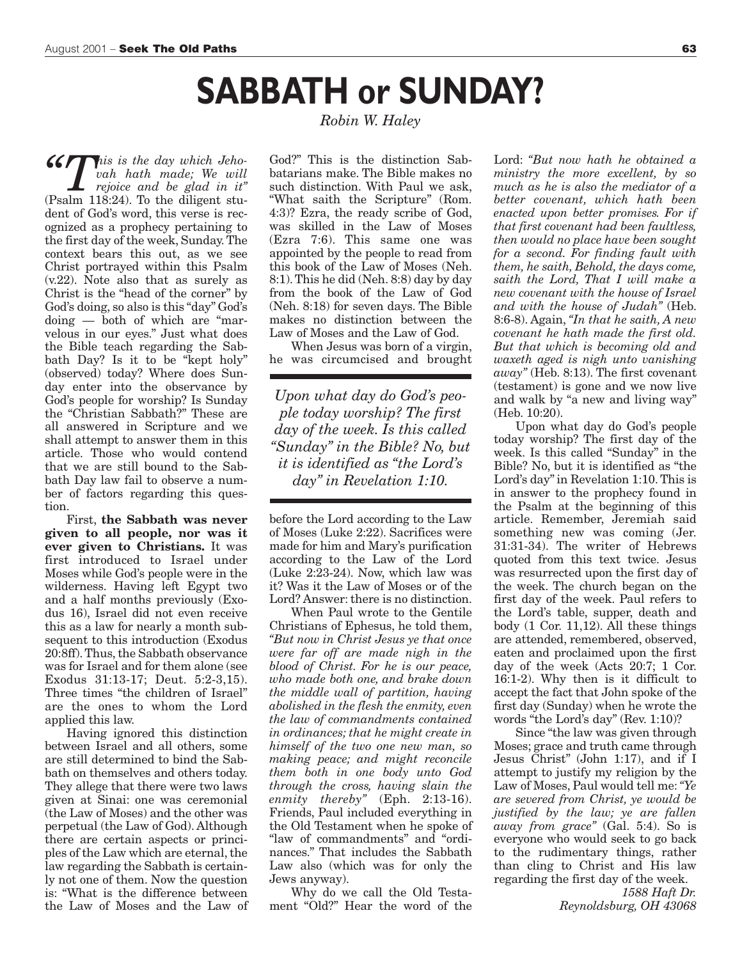### **SABBATH or SUNDAY?**

 $\mathcal{L}$  This is the day which Jeho*vah hath made; We will rejoice and be glad in it"* (Psalm 118:24). To the diligent student of God's word, this verse is recognized as a prophecy pertaining to the first day of the week, Sunday. The context bears this out, as we see Christ portrayed within this Psalm (v.22). Note also that as surely as Christ is the "head of the corner" by God's doing, so also is this "day" God's doing — both of which are "marvelous in our eyes." Just what does the Bible teach regarding the Sabbath Day? Is it to be "kept holy" (observed) today? Where does Sunday enter into the observance by God's people for worship? Is Sunday the "Christian Sabbath?" These are all answered in Scripture and we shall attempt to answer them in this article. Those who would contend that we are still bound to the Sabbath Day law fail to observe a number of factors regarding this question.

First, **the Sabbath was never given to all people, nor was it ever given to Christians.** It was first introduced to Israel under Moses while God's people were in the wilderness. Having left Egypt two and a half months previously (Exodus 16), Israel did not even receive this as a law for nearly a month subsequent to this introduction (Exodus 20:8ff). Thus, the Sabbath observance was for Israel and for them alone (see Exodus 31:13-17; Deut. 5:2-3,15). Three times "the children of Israel" are the ones to whom the Lord applied this law.

Having ignored this distinction between Israel and all others, some are still determined to bind the Sabbath on themselves and others today. They allege that there were two laws given at Sinai: one was ceremonial (the Law of Moses) and the other was perpetual (the Law of God). Although there are certain aspects or principles of the Law which are eternal, the law regarding the Sabbath is certainly not one of them. Now the question is: "What is the difference between the Law of Moses and the Law of *Robin W. Haley* 

God?" This is the distinction Sabbatarians make. The Bible makes no such distinction. With Paul we ask, "What saith the Scripture" (Rom. 4:3)? Ezra, the ready scribe of God, was skilled in the Law of Moses (Ezra 7:6). This same one was appointed by the people to read from this book of the Law of Moses (Neh. 8:1). This he did (Neh. 8:8) day by day from the book of the Law of God (Neh. 8:18) for seven days. The Bible makes no distinction between the Law of Moses and the Law of God.

When Jesus was born of a virgin, he was circumcised and brought

*Upon what day do God's people today worship? The first day of the week. Is this called "Sunday" in the Bible? No, but it is identified as "the Lord's day" in Revelation 1:10.*

before the Lord according to the Law of Moses (Luke 2:22). Sacrifices were made for him and Mary's purification according to the Law of the Lord (Luke 2:23-24). Now, which law was it? Was it the Law of Moses or of the Lord? Answer: there is no distinction.

When Paul wrote to the Gentile Christians of Ephesus, he told them, *"But now in Christ Jesus ye that once were far off are made nigh in the blood of Christ. For he is our peace, who made both one, and brake down the middle wall of partition, having abolished in the flesh the enmity, even the law of commandments contained in ordinances; that he might create in himself of the two one new man, so making peace; and might reconcile them both in one body unto God through the cross, having slain the enmity thereby"* (Eph. 2:13-16). Friends, Paul included everything in the Old Testament when he spoke of "law of commandments" and "ordinances." That includes the Sabbath Law also (which was for only the Jews anyway).

Why do we call the Old Testament "Old?" Hear the word of the

Lord: *"But now hath he obtained a ministry the more excellent, by so much as he is also the mediator of a better covenant, which hath been enacted upon better promises. For if that first covenant had been faultless, then would no place have been sought for a second. For finding fault with them, he saith, Behold, the days come, saith the Lord, That I will make a new covenant with the house of Israel and with the house of Judah"* (Heb. 8:6-8). Again, *"In that he saith, A new covenant he hath made the first old. But that which is becoming old and waxeth aged is nigh unto vanishing away"* (Heb. 8:13). The first covenant (testament) is gone and we now live and walk by "a new and living way" (Heb. 10:20).

Upon what day do God's people today worship? The first day of the week. Is this called "Sunday" in the Bible? No, but it is identified as "the Lord's day" in Revelation 1:10. This is in answer to the prophecy found in the Psalm at the beginning of this article. Remember, Jeremiah said something new was coming (Jer. 31:31-34). The writer of Hebrews quoted from this text twice. Jesus was resurrected upon the first day of the week. The church began on the first day of the week. Paul refers to the Lord's table, supper, death and body (1 Cor. 11,12). All these things are attended, remembered, observed, eaten and proclaimed upon the first day of the week (Acts 20:7; 1 Cor. 16:1-2). Why then is it difficult to accept the fact that John spoke of the first day (Sunday) when he wrote the words "the Lord's day" (Rev. 1:10)?

Since "the law was given through Moses; grace and truth came through Jesus Christ" (John 1:17), and if I attempt to justify my religion by the Law of Moses, Paul would tell me:*"Ye are severed from Christ, ye would be justified by the law; ye are fallen away from grace"* (Gal. 5:4). So is everyone who would seek to go back to the rudimentary things, rather than cling to Christ and His law regarding the first day of the week.

> *1588 Haft Dr. Reynoldsburg, OH 43068*